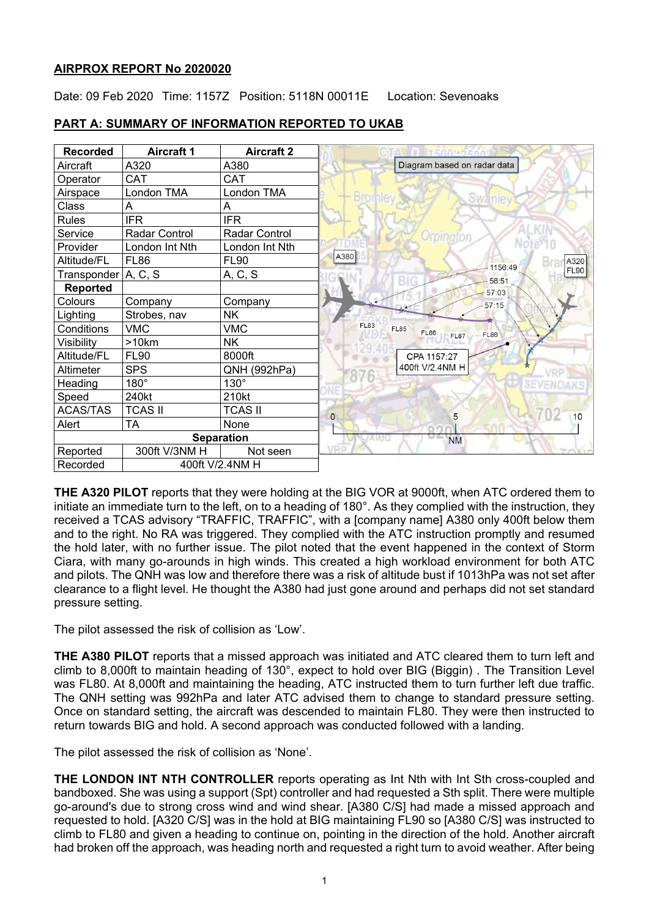## **AIRPROX REPORT No 2020020**

Date: 09 Feb 2020 Time: 1157Z Position: 5118N 00011E Location: Sevenoaks

| <b>Recorded</b>             | <b>Aircraft 1</b>    | <b>Aircraft 2</b> |                                                                         |
|-----------------------------|----------------------|-------------------|-------------------------------------------------------------------------|
| Aircraft                    | A320                 | A380              | Diagram based on radar data                                             |
| Operator                    | <b>CAT</b>           | <b>CAT</b>        |                                                                         |
| Airspace                    | London TMA           | London TMA        | <b>Bronney</b><br>Swanley                                               |
| Class                       | A                    | A                 |                                                                         |
| Rules                       | <b>IFR</b>           | <b>IFR</b>        |                                                                         |
| Service                     | <b>Radar Control</b> | Radar Control     | Orpingtor                                                               |
| Provider                    | London Int Nth       | London Int Nth    | Note <sup>v</sup> 10                                                    |
| Altitude/FL                 | <b>FL86</b>          | <b>FL90</b>       | A380<br>A320<br>1156:49                                                 |
| Transponder                 | A, C, S              | A, C, S           | <b>FL90</b><br>56:51                                                    |
| <b>Reported</b>             |                      |                   | BP<br>57:03                                                             |
| Colours                     | Company              | Company           | 57:15                                                                   |
| Lighting                    | Strobes, nav         | <b>NK</b>         |                                                                         |
| Conditions                  | <b>VMC</b>           | <b>VMC</b>        | <b>FL83</b><br><b>FL85</b><br><b>FL86</b><br><b>FL86</b><br><b>FL87</b> |
| Visibility                  | >10km                | <b>NK</b>         |                                                                         |
| Altitude/FL                 | <b>FL90</b>          | 8000ft            | CPA 1157:27                                                             |
| Altimeter                   | <b>SPS</b>           | QNH (992hPa)      | 400ft V/2.4NM H                                                         |
| Heading                     | $180^\circ$          | 130°              |                                                                         |
| Speed                       | 240kt                | 210kt             |                                                                         |
| <b>ACAS/TAS</b>             | <b>TCAS II</b>       | <b>TCAS II</b>    | 70<br>$\mathbf{0}$<br>10<br>5                                           |
| Alert                       | <b>TA</b>            | None              |                                                                         |
|                             |                      | <b>Separation</b> | <b>NM</b>                                                               |
| Reported                    | 300ft V/3NM H        | Not seen          | VDD                                                                     |
| 400ft V/2.4NM H<br>Recorded |                      |                   |                                                                         |

## **PART A: SUMMARY OF INFORMATION REPORTED TO UKAB**

**THE A320 PILOT** reports that they were holding at the BIG VOR at 9000ft, when ATC ordered them to initiate an immediate turn to the left, on to a heading of 180°. As they complied with the instruction, they received a TCAS advisory "TRAFFIC, TRAFFIC", with a [company name] A380 only 400ft below them and to the right. No RA was triggered. They complied with the ATC instruction promptly and resumed the hold later, with no further issue. The pilot noted that the event happened in the context of Storm Ciara, with many go-arounds in high winds. This created a high workload environment for both ATC and pilots. The QNH was low and therefore there was a risk of altitude bust if 1013hPa was not set after clearance to a flight level. He thought the A380 had just gone around and perhaps did not set standard pressure setting.

The pilot assessed the risk of collision as 'Low'.

**THE A380 PILOT** reports that a missed approach was initiated and ATC cleared them to turn left and climb to 8,000ft to maintain heading of 130°, expect to hold over BIG (Biggin) . The Transition Level was FL80. At 8,000ft and maintaining the heading, ATC instructed them to turn further left due traffic. The QNH setting was 992hPa and later ATC advised them to change to standard pressure setting. Once on standard setting, the aircraft was descended to maintain FL80. They were then instructed to return towards BIG and hold. A second approach was conducted followed with a landing.

The pilot assessed the risk of collision as 'None'.

**THE LONDON INT NTH CONTROLLER** reports operating as Int Nth with Int Sth cross-coupled and bandboxed. She was using a support (Spt) controller and had requested a Sth split. There were multiple go-around's due to strong cross wind and wind shear. [A380 C/S] had made a missed approach and requested to hold. [A320 C/S] was in the hold at BIG maintaining FL90 so [A380 C/S] was instructed to climb to FL80 and given a heading to continue on, pointing in the direction of the hold. Another aircraft had broken off the approach, was heading north and requested a right turn to avoid weather. After being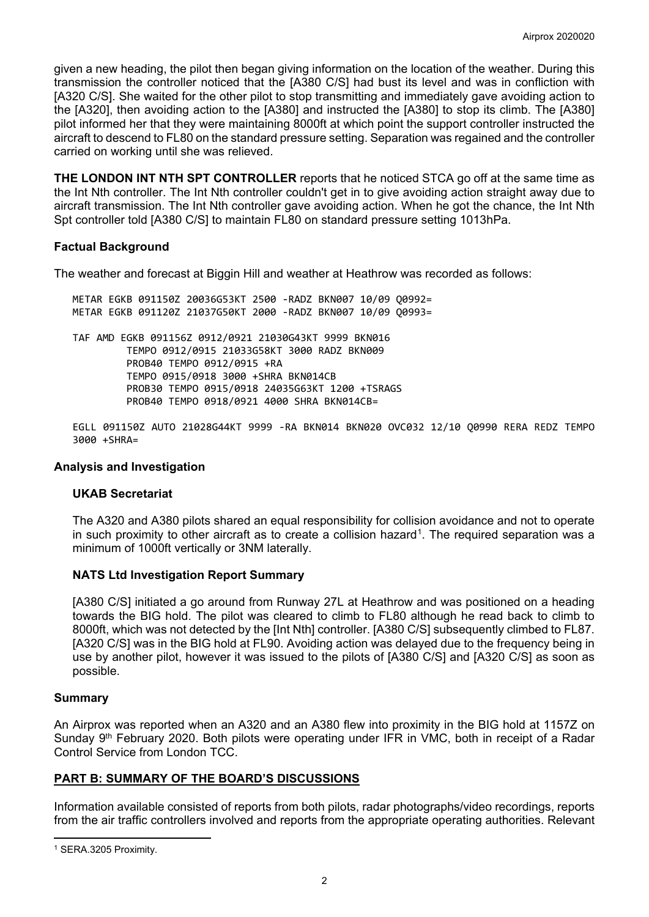given a new heading, the pilot then began giving information on the location of the weather. During this transmission the controller noticed that the [A380 C/S] had bust its level and was in confliction with [A320 C/S]. She waited for the other pilot to stop transmitting and immediately gave avoiding action to the [A320], then avoiding action to the [A380] and instructed the [A380] to stop its climb. The [A380] pilot informed her that they were maintaining 8000ft at which point the support controller instructed the aircraft to descend to FL80 on the standard pressure setting. Separation was regained and the controller carried on working until she was relieved.

**THE LONDON INT NTH SPT CONTROLLER** reports that he noticed STCA go off at the same time as the Int Nth controller. The Int Nth controller couldn't get in to give avoiding action straight away due to aircraft transmission. The Int Nth controller gave avoiding action. When he got the chance, the Int Nth Spt controller told [A380 C/S] to maintain FL80 on standard pressure setting 1013hPa.

## **Factual Background**

The weather and forecast at Biggin Hill and weather at Heathrow was recorded as follows:

METAR EGKB 091150Z 20036G53KT 2500 -RADZ BKN007 10/09 Q0992= METAR EGKB 091120Z 21037G50KT 2000 -RADZ BKN007 10/09 Q0993=

TAF AMD EGKB 091156Z 0912/0921 21030G43KT 9999 BKN016 TEMPO 0912/0915 21033G58KT 3000 RADZ BKN009 PROB40 TEMPO 0912/0915 +RA TEMPO 0915/0918 3000 +SHRA BKN014CB PROB30 TEMPO 0915/0918 24035G63KT 1200 +TSRAGS PROB40 TEMPO 0918/0921 4000 SHRA BKN014CB=

EGLL 091150Z AUTO 21028G44KT 9999 -RA BKN014 BKN020 OVC032 12/10 Q0990 RERA REDZ TEMPO 3000 +SHRA=

#### **Analysis and Investigation**

#### **UKAB Secretariat**

The A320 and A380 pilots shared an equal responsibility for collision avoidance and not to operate in such proximity to other aircraft as to create a collision hazard<sup>[1](#page-1-0)</sup>. The required separation was a minimum of 1000ft vertically or 3NM laterally.

## **NATS Ltd Investigation Report Summary**

[A380 C/S] initiated a go around from Runway 27L at Heathrow and was positioned on a heading towards the BIG hold. The pilot was cleared to climb to FL80 although he read back to climb to 8000ft, which was not detected by the [Int Nth] controller. [A380 C/S] subsequently climbed to FL87. [A320 C/S] was in the BIG hold at FL90. Avoiding action was delayed due to the frequency being in use by another pilot, however it was issued to the pilots of [A380 C/S] and [A320 C/S] as soon as possible.

## **Summary**

An Airprox was reported when an A320 and an A380 flew into proximity in the BIG hold at 1157Z on Sunday 9<sup>th</sup> February 2020. Both pilots were operating under IFR in VMC, both in receipt of a Radar Control Service from London TCC.

## **PART B: SUMMARY OF THE BOARD'S DISCUSSIONS**

Information available consisted of reports from both pilots, radar photographs/video recordings, reports from the air traffic controllers involved and reports from the appropriate operating authorities. Relevant

<span id="page-1-0"></span> $\overline{\phantom{a}}$ <sup>1</sup> SERA.3205 Proximity.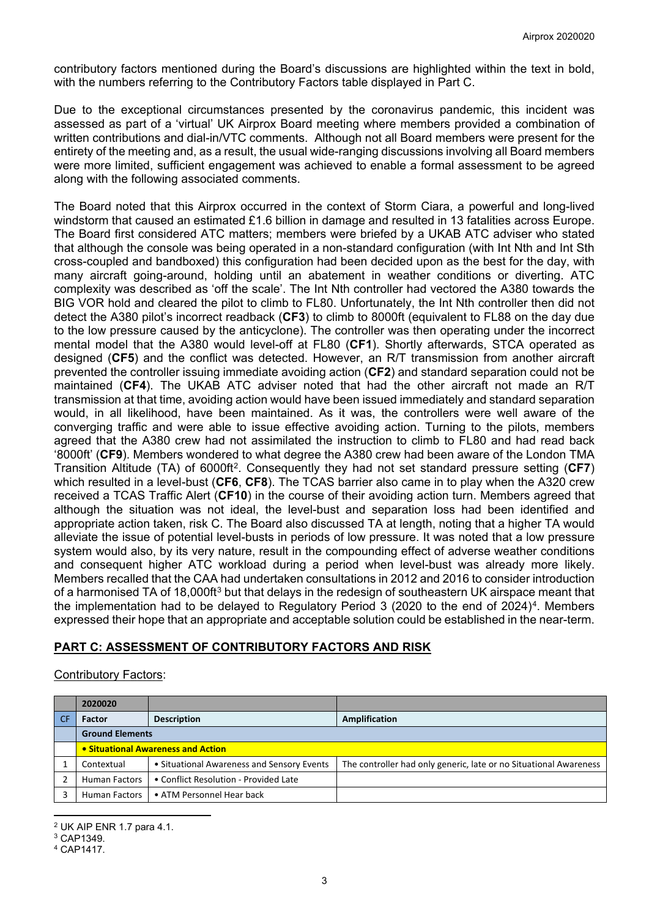contributory factors mentioned during the Board's discussions are highlighted within the text in bold, with the numbers referring to the Contributory Factors table displayed in Part C.

Due to the exceptional circumstances presented by the coronavirus pandemic, this incident was assessed as part of a 'virtual' UK Airprox Board meeting where members provided a combination of written contributions and dial-in/VTC comments. Although not all Board members were present for the entirety of the meeting and, as a result, the usual wide-ranging discussions involving all Board members were more limited, sufficient engagement was achieved to enable a formal assessment to be agreed along with the following associated comments.

The Board noted that this Airprox occurred in the context of Storm Ciara, a powerful and long-lived windstorm that caused an estimated £1.6 billion in damage and resulted in 13 fatalities across Europe. The Board first considered ATC matters; members were briefed by a UKAB ATC adviser who stated that although the console was being operated in a non-standard configuration (with Int Nth and Int Sth cross-coupled and bandboxed) this configuration had been decided upon as the best for the day, with many aircraft going-around, holding until an abatement in weather conditions or diverting. ATC complexity was described as 'off the scale'. The Int Nth controller had vectored the A380 towards the BIG VOR hold and cleared the pilot to climb to FL80. Unfortunately, the Int Nth controller then did not detect the A380 pilot's incorrect readback (**CF3**) to climb to 8000ft (equivalent to FL88 on the day due to the low pressure caused by the anticyclone). The controller was then operating under the incorrect mental model that the A380 would level-off at FL80 (**CF1**). Shortly afterwards, STCA operated as designed (**CF5**) and the conflict was detected. However, an R/T transmission from another aircraft prevented the controller issuing immediate avoiding action (**CF2**) and standard separation could not be maintained (**CF4**). The UKAB ATC adviser noted that had the other aircraft not made an R/T transmission at that time, avoiding action would have been issued immediately and standard separation would, in all likelihood, have been maintained. As it was, the controllers were well aware of the converging traffic and were able to issue effective avoiding action. Turning to the pilots, members agreed that the A380 crew had not assimilated the instruction to climb to FL80 and had read back '8000ft' (**CF9**). Members wondered to what degree the A380 crew had been aware of the London TMA Transition Altitude (TA) of 6000ft[2.](#page-2-0) Consequently they had not set standard pressure setting (**CF7**) which resulted in a level-bust (**CF6**, **CF8**). The TCAS barrier also came in to play when the A320 crew received a TCAS Traffic Alert (**CF10**) in the course of their avoiding action turn. Members agreed that although the situation was not ideal, the level-bust and separation loss had been identified and appropriate action taken, risk C. The Board also discussed TA at length, noting that a higher TA would alleviate the issue of potential level-busts in periods of low pressure. It was noted that a low pressure system would also, by its very nature, result in the compounding effect of adverse weather conditions and consequent higher ATC workload during a period when level-bust was already more likely. Members recalled that the CAA had undertaken consultations in 2012 and 2016 to consider introduction of a harmonised TA of 18,000ft<sup>[3](#page-2-1)</sup> but that delays in the redesign of southeastern UK airspace meant that the implementation had to be delayed to Regulatory Period 3 (2020 to the end of  $2024$ <sup>4</sup>. Members expressed their hope that an appropriate and acceptable solution could be established in the near-term.

# **PART C: ASSESSMENT OF CONTRIBUTORY FACTORS AND RISK**

## Contributory Factors:

| 2020020                            |                                            |                                                                   |  |  |
|------------------------------------|--------------------------------------------|-------------------------------------------------------------------|--|--|
| <b>Factor</b>                      | <b>Description</b>                         | Amplification                                                     |  |  |
| <b>Ground Elements</b>             |                                            |                                                                   |  |  |
| • Situational Awareness and Action |                                            |                                                                   |  |  |
| Contextual                         | • Situational Awareness and Sensory Events | The controller had only generic, late or no Situational Awareness |  |  |
| <b>Human Factors</b>               | • Conflict Resolution - Provided Late      |                                                                   |  |  |
| <b>Human Factors</b>               | • ATM Personnel Hear back                  |                                                                   |  |  |

l <sup>2</sup> UK AIP ENR 1.7 para 4.1.

<span id="page-2-1"></span><span id="page-2-0"></span><sup>3</sup> CAP1349.

<span id="page-2-2"></span><sup>4</sup> CAP1417.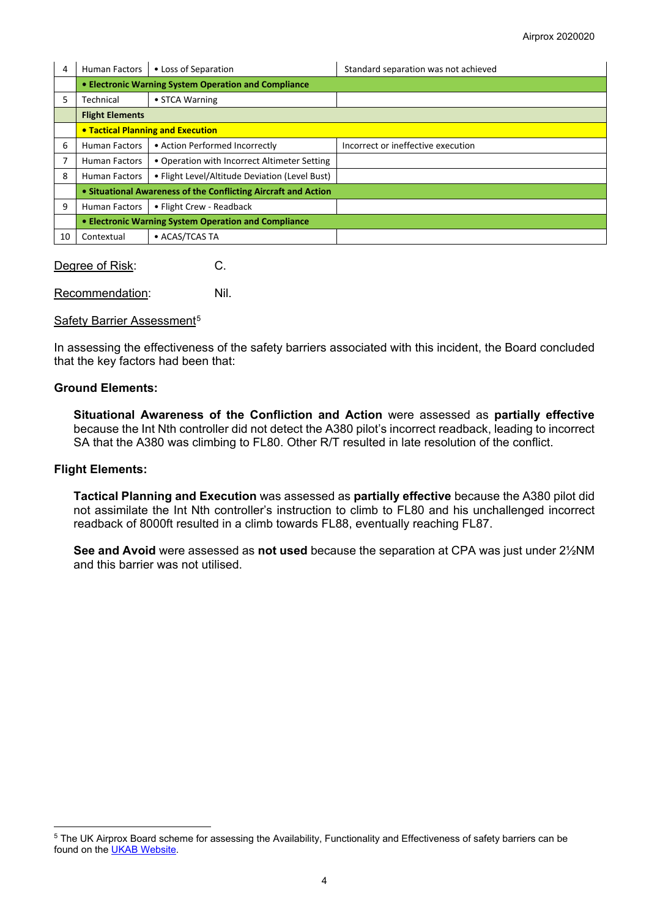| 4  | <b>Human Factors</b>                                           | • Loss of Separation                           | Standard separation was not achieved |  |  |  |
|----|----------------------------------------------------------------|------------------------------------------------|--------------------------------------|--|--|--|
|    | • Electronic Warning System Operation and Compliance           |                                                |                                      |  |  |  |
| 5  | Technical                                                      | • STCA Warning                                 |                                      |  |  |  |
|    | <b>Flight Elements</b>                                         |                                                |                                      |  |  |  |
|    | <b>• Tactical Planning and Execution</b>                       |                                                |                                      |  |  |  |
| 6  | <b>Human Factors</b>                                           | • Action Performed Incorrectly                 | Incorrect or ineffective execution   |  |  |  |
|    | <b>Human Factors</b>                                           | • Operation with Incorrect Altimeter Setting   |                                      |  |  |  |
| 8  | <b>Human Factors</b>                                           | • Flight Level/Altitude Deviation (Level Bust) |                                      |  |  |  |
|    | • Situational Awareness of the Conflicting Aircraft and Action |                                                |                                      |  |  |  |
| 9  | <b>Human Factors</b>                                           | • Flight Crew - Readback                       |                                      |  |  |  |
|    | • Electronic Warning System Operation and Compliance           |                                                |                                      |  |  |  |
| 10 | Contextual                                                     | • ACAS/TCAS TA                                 |                                      |  |  |  |

Degree of Risk: C.

Recommendation: Nil.

#### Safety Barrier Assessment<sup>[5](#page-3-0)</sup>

In assessing the effectiveness of the safety barriers associated with this incident, the Board concluded that the key factors had been that:

## **Ground Elements:**

**Situational Awareness of the Confliction and Action** were assessed as **partially effective** because the Int Nth controller did not detect the A380 pilot's incorrect readback, leading to incorrect SA that the A380 was climbing to FL80. Other R/T resulted in late resolution of the conflict.

#### **Flight Elements:**

 $\overline{\phantom{a}}$ 

**Tactical Planning and Execution** was assessed as **partially effective** because the A380 pilot did not assimilate the Int Nth controller's instruction to climb to FL80 and his unchallenged incorrect readback of 8000ft resulted in a climb towards FL88, eventually reaching FL87.

**See and Avoid** were assessed as **not used** because the separation at CPA was just under 2½NM and this barrier was not utilised.

<span id="page-3-0"></span><sup>5</sup> The UK Airprox Board scheme for assessing the Availability, Functionality and Effectiveness of safety barriers can be found on the **UKAB Website**.